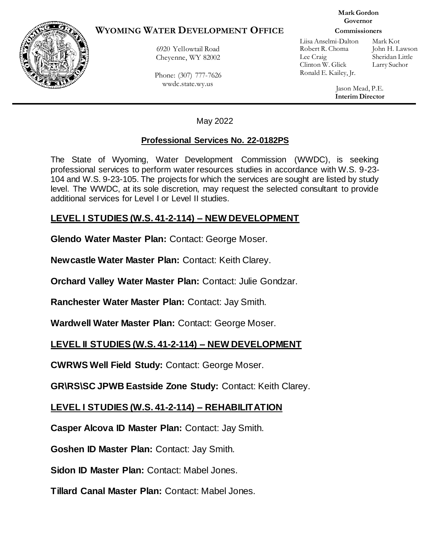### **WYOMING WATER DEVELOPMENT OFFICE**

6920 Yellowtail Road Cheyenne, WY 82002

Phone: (307) 777-7626 wwdc.state.wy.us

#### **Mark Gordon Governor**

#### **Commissioners**

Liisa Anselmi-Dalton Mark Kot Robert R. Choma John H. Lawson Lee Craig Sheridan Little Clinton W. Glick Larry Suchor Ronald E. Kailey, Jr.

Jason Mead, P.E. **Interim Director**

May 2022

#### **Professional Services No. 22-0182PS**

The State of Wyoming, Water Development Commission (WWDC), is seeking professional services to perform water resources studies in accordance with W.S. 9-23- 104 and W.S. 9-23-105. The projects for which the services are sought are listed by study level. The WWDC, at its sole discretion, may request the selected consultant to provide additional services for Level I or Level II studies.

## **LEVEL I STUDIES (W.S. 41-2-114) – NEW DEVELOPMENT**

**Glendo Water Master Plan:** Contact: George Moser.

**Newcastle Water Master Plan:** Contact: Keith Clarey.

**Orchard Valley Water Master Plan:** Contact: Julie Gondzar.

**Ranchester Water Master Plan:** Contact: Jay Smith.

**Wardwell Water Master Plan:** Contact: George Moser.

# **LEVEL II STUDIES (W.S. 41-2-114) – NEW DEVELOPMENT**

**CWRWS Well Field Study:** Contact: George Moser.

**GR\RS\SC JPWB Eastside Zone Study:** Contact: Keith Clarey.

# **LEVEL I STUDIES (W.S. 41-2-114) – REHABILITATION**

**Casper Alcova ID Master Plan:** Contact: Jay Smith.

**Goshen ID Master Plan:** Contact: Jay Smith.

**Sidon ID Master Plan:** Contact: Mabel Jones.

**Tillard Canal Master Plan:** Contact: Mabel Jones.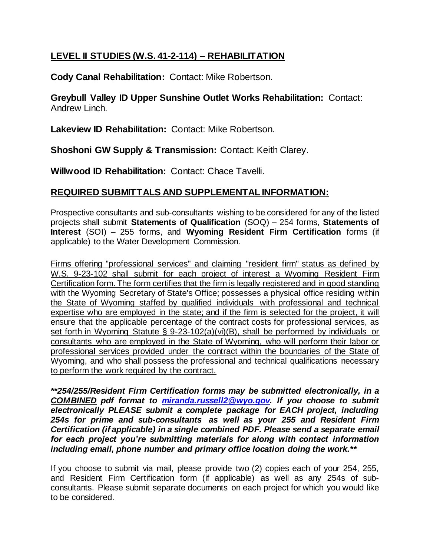# **LEVEL II STUDIES (W.S. 41-2-114) – REHABILITATION**

**Cody Canal Rehabilitation:** Contact: Mike Robertson.

**Greybull Valley ID Upper Sunshine Outlet Works Rehabilitation:** Contact: Andrew Linch.

**Lakeview ID Rehabilitation:** Contact: Mike Robertson.

**Shoshoni GW Supply & Transmission:** Contact: Keith Clarey.

**Willwood ID Rehabilitation:** Contact: Chace Tavelli.

# **REQUIRED SUBMITTALS AND SUPPLEMENTAL INFORMATION:**

Prospective consultants and sub-consultants wishing to be considered for any of the listed projects shall submit **Statements of Qualification** (SOQ) – 254 forms, **Statements of Interest** (SOI) – 255 forms, and **Wyoming Resident Firm Certification** forms (if applicable) to the Water Development Commission.

Firms offering "professional services" and claiming "resident firm" status as defined by W.S. 9-23-102 shall submit for each project of interest a Wyoming Resident Firm Certification form. The form certifies that the firm is legally registered and in good standing with the Wyoming Secretary of State's Office; possesses a physical office residing within the State of Wyoming staffed by qualified individuals with professional and technical expertise who are employed in the state; and if the firm is selected for the project, it will ensure that the applicable percentage of the contract costs for professional services, as set forth in Wyoming Statute § 9-23-102(a)(vi)(B), shall be performed by individuals or consultants who are employed in the State of Wyoming, who will perform their labor or professional services provided under the contract within the boundaries of the State of Wyoming, and who shall possess the professional and technical qualifications necessary to perform the work required by the contract.

*\*\*254/255/Resident Firm Certification forms may be submitted electronically, in a COMBINED pdf format to [miranda.russell2@wyo.gov.](mailto:miranda.russell2@wyo.gov) If you choose to submit electronically PLEASE submit a complete package for EACH project, including 254s for prime and sub-consultants as well as your 255 and Resident Firm Certification (if applicable) in a single combined PDF. Please send a separate email for each project you're submitting materials for along with contact information including email, phone number and primary office location doing the work.\*\**

If you choose to submit via mail, please provide two (2) copies each of your 254, 255, and Resident Firm Certification form (if applicable) as well as any 254s of subconsultants. Please submit separate documents on each project for which you would like to be considered.